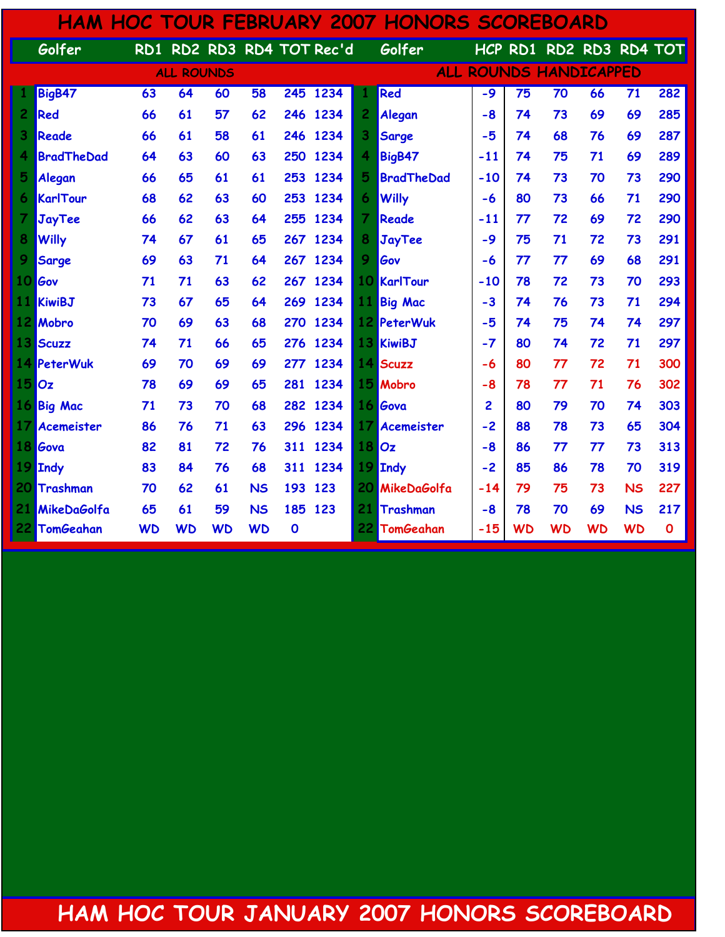| <b>HAM HOC TOUR FEBRUARY 2007 HONORS SCOREBOARD</b> |                   |                  |                   |           |           |             |                       |                               |                   |                |           |                         |           |           |             |  |
|-----------------------------------------------------|-------------------|------------------|-------------------|-----------|-----------|-------------|-----------------------|-------------------------------|-------------------|----------------|-----------|-------------------------|-----------|-----------|-------------|--|
|                                                     | Golfer            | $\overline{RD1}$ |                   |           |           |             | RD2 RD3 RD4 TOT Rec'd |                               | Golfer            |                |           | HCP RD1 RD2 RD3 RD4 TOT |           |           |             |  |
|                                                     |                   |                  | <b>ALL ROUNDS</b> |           |           |             |                       | <b>ALL ROUNDS HANDICAPPED</b> |                   |                |           |                         |           |           |             |  |
|                                                     | BigB47            | 63               | 64                | 60        | 58        |             | 245 1234              |                               | Red               | $-9$           | 75        | $\overline{70}$         | 66        | 71        | 282         |  |
| 2                                                   | Red               | 66               | 61                | 57        | 62        |             | 246 1234              | 2                             | Alegan            | $-8$           | 74        | 73                      | 69        | 69        | 285         |  |
| 3                                                   | <b>Reade</b>      | 66               | 61                | 58        | 61        | 246         | 1234                  | 3                             | Sarge             | $-5$           | 74        | 68                      | 76        | 69        | 287         |  |
| 4                                                   | <b>BradTheDad</b> | 64               | 63                | 60        | 63        | 250         | 1234                  | 4                             | BigB47            | $-11$          | 74        | 75                      | 71        | 69        | 289         |  |
| 5                                                   | Alegan            | 66               | 65                | 61        | 61        | 253         | 1234                  | 5                             | <b>BradTheDad</b> | $-10$          | 74        | 73                      | 70        | 73        | 290         |  |
| 6                                                   | KarlTour          | 68               | 62                | 63        | 60        | 253         | 1234                  | 6                             | <b>Willy</b>      | -6             | 80        | 73                      | 66        | 71        | 290         |  |
| 7                                                   | JayTee            | 66               | 62                | 63        | 64        | 255         | 1234                  | $\overline{7}$                | Reade             | $-11$          | 77        | 72                      | 69        | 72        | 290         |  |
| 8                                                   | <b>Willy</b>      | 74               | 67                | 61        | 65        | 267         | 1234                  | 8                             | JayTee            | $-9$           | 75        | 71                      | 72        | 73        | 291         |  |
| 9                                                   | <b>Sarge</b>      | 69               | 63                | 71        | 64        |             | 267 1234              | 9                             | Gov               | -6             | 77        | 77                      | 69        | 68        | 291         |  |
| 10                                                  | Gov               | 71               | 71                | 63        | 62        |             | 267 1234              | 10                            | KarlTour          | $-10$          | 78        | 72                      | 73        | 70        | 293         |  |
| 11.                                                 | <b>KiwiBJ</b>     | 73               | 67                | 65        | 64        |             | 269 1234              | 11                            | <b>Big Mac</b>    | $-3$           | 74        | 76                      | 73        | 71        | 294         |  |
|                                                     | 12 Mobro          | 70               | 69                | 63        | 68        | 270         | 1234                  |                               | 12 PeterWuk       | -5             | 74        | 75                      | 74        | 74        | 297         |  |
| 13                                                  | Scuzz             | 74               | 71                | 66        | 65        | 276         | 1234                  | 13                            | KiwiBJ            | $-7$           | 80        | 74                      | 72        | 71        | 297         |  |
|                                                     | 14 PeterWuk       | 69               | 70                | 69        | 69        | 277         | 1234                  | 14                            | Scuzz             | -6             | 80        | 77                      | 72        | 71        | 300         |  |
| 15                                                  | Oz                | 78               | 69                | 69        | 65        | 281         | 1234                  | 15                            | Mobro             | $-8$           | 78        | 77                      | 71        | 76        | 302         |  |
|                                                     | 16 Big Mac        | 71               | 73                | 70        | 68        | 282         | 1234                  |                               | 16 Gova           | $\overline{2}$ | 80        | 79                      | 70        | 74        | 303         |  |
| 17                                                  | <b>Acemeister</b> | 86               | 76                | 71        | 63        |             | 296 1234              | 17                            | <b>Acemeister</b> | $-2$           | 88        | 78                      | 73        | 65        | 304         |  |
| 18                                                  | Gova              | 82               | 81                | 72        | 76        | 311         | 1234                  | 18                            | loz               | $-8$           | 86        | 77                      | 77        | 73        | 313         |  |
| 19                                                  | Indy              | 83               | 84                | 76        | 68        | 311         | 1234                  | 19                            | <b>Indy</b>       | $-2$           | 85        | 86                      | 78        | 70        | 319         |  |
| 20                                                  | Trashman          | 70               | 62                | 61        | <b>NS</b> | 193         | 123                   | 20                            | MikeDaGolfa       | $-14$          | 79        | 75                      | 73        | <b>NS</b> | 227         |  |
| 21                                                  | MikeDaGolfa       | 65               | 61                | 59        | <b>NS</b> | 185         | 123                   | 21                            | Trashman          | $-8$           | 78        | 70                      | 69        | <b>NS</b> | 217         |  |
|                                                     | 22 TomGeahan      | <b>WD</b>        | <b>WD</b>         | <b>WD</b> | <b>WD</b> | $\mathbf 0$ |                       | 22                            | <b>TomGeahan</b>  | $-15$          | <b>WD</b> | <b>WD</b>               | <b>WD</b> | <b>WD</b> | $\mathbf 0$ |  |

## HAM HOC TOUR JANUARY 2007 HONORS SCOREBOARD